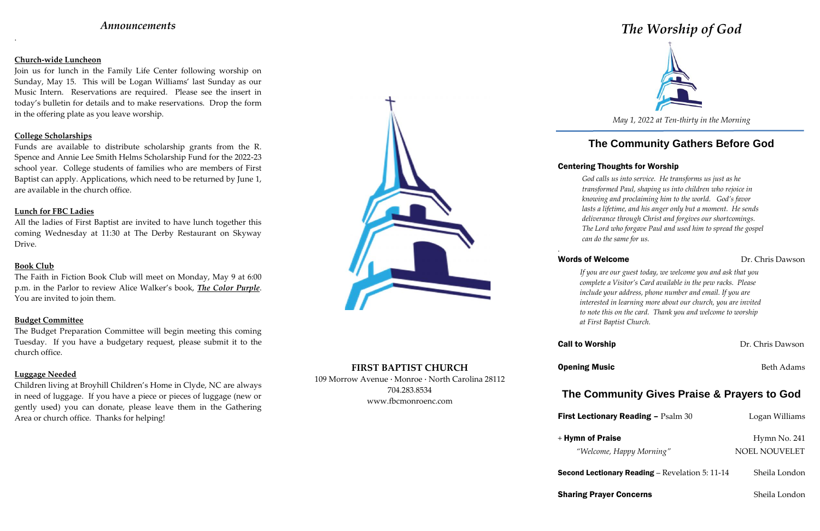## *Announcements*

.

### **Church-wide Luncheon**

Join us for lunch in the Family Life Center following worship on Sunday, May 15. This will be Logan Williams' last Sunday as our Music Intern. Reservations are required. Please see the insert in today's bulletin for details and to make reservations. Drop the form in the offering plate as you leave worship.

### **College Scholarships**

Funds are available to distribute scholarship grants from the R. Spence and Annie Lee Smith Helms Scholarship Fund for the 2022-23 school year. College students of families who are members of First Baptist can apply. Applications, which need to be returned by June 1, are available in the church office.

### **Lunch for FBC Ladies**

All the ladies of First Baptist are invited to have lunch together this coming Wednesday at 11:30 at The Derby Restaurant on Skyway Drive.

### **Book Club**

The Faith in Fiction Book Club will meet on Monday, May 9 at 6:00 p.m. in the Parlor to review Alice Walker's book, *The Color Purple*. You are invited to join them.

### **Budget Committee**

The Budget Preparation Committee will begin meeting this coming Tuesday. If you have a budgetary request, please submit it to the church office.

## **Luggage Needed**

Children living at Broyhill Children's Home in Clyde, NC are always in need of luggage. If you have a piece or pieces of luggage (new or gently used) you can donate, please leave them in the Gathering Area or church office. Thanks for helping!



**FIRST BAPTIST CHURCH** 109 Morrow Avenue · Monroe · North Carolina 28112 704.283.8534 www.fbcmonroenc.com

# *The Worship of God*



*May 1, 2022 at Ten-thirty in the Morning*

# **The Community Gathers Before God**

## Centering Thoughts for Worship

## Words of Welcome **Dr.** Chris Dawson

*God calls us into service. He transforms us just as he transformed Paul, shaping us into children who rejoice in knowing and proclaiming him to the world. God's favor lasts a lifetime, and his anger only but a moment. He sends deliverance through Christ and forgives our shortcomings. The Lord who forgave Paul and used him to spread the gospel can do the same for us.*

*.*

**Opening Music** Beth Adams

**First Lectionary Reading – Psalm 30 Logan Williams** 

**Second Lectionary Reading** – Revelation 5: 11-14 Sheila London

**Sharing Prayer Concerns** Sheila London

*If you are our guest today, we welcome you and ask that you complete a Visitor's Card available in the pew racks. Please include your address, phone number and email. If you are interested in learning more about our church, you are invited to note this on the card. Thank you and welcome to worship at First Baptist Church.*

**Call to Worship Dr. Chris Dawson** 

# **The Community Gives Praise & Prayers to God**

 $+$  Hymn of Praise Hymn No. 241 *"Welcome, Happy Morning"* NOEL NOUVELET